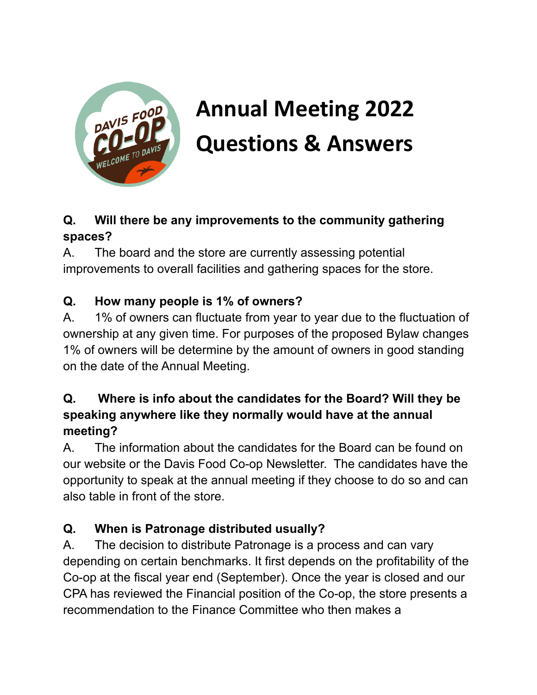

# **Annual Meeting 2022 Questions & Answers**

## **Q. Will there be any improvements to the community gathering spaces?**

A. The board and the store are currently assessing potential improvements to overall facilities and gathering spaces for the store.

## **Q. How many people is 1% of owners?**

A. 1% of owners can fluctuate from year to year due to the fluctuation of ownership at any given time. For purposes of the proposed Bylaw changes 1% of owners will be determine by the amount of owners in good standing on the date of the Annual Meeting.

## **Q. Where is info about the candidates for the Board? Will they be speaking anywhere like they normally would have at the annual meeting?**

A. The information about the candidates for the Board can be found on our website or the Davis Food Co-op Newsletter. The candidates have the opportunity to speak at the annual meeting if they choose to do so and can also table in front of the store.

## **Q. When is Patronage distributed usually?**

A. The decision to distribute Patronage is a process and can vary depending on certain benchmarks. It first depends on the profitability of the Co-op at the fiscal year end (September). Once the year is closed and our CPA has reviewed the Financial position of the Co-op, the store presents a recommendation to the Finance Committee who then makes a